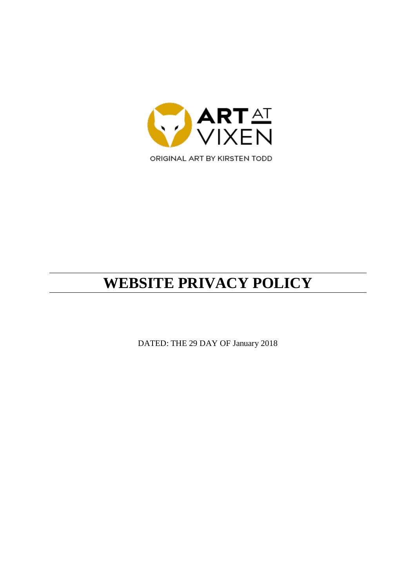

ORIGINAL ART BY KIRSTEN TODD

# **WEBSITE PRIVACY POLICY**

DATED: THE 29 DAY OF January 2018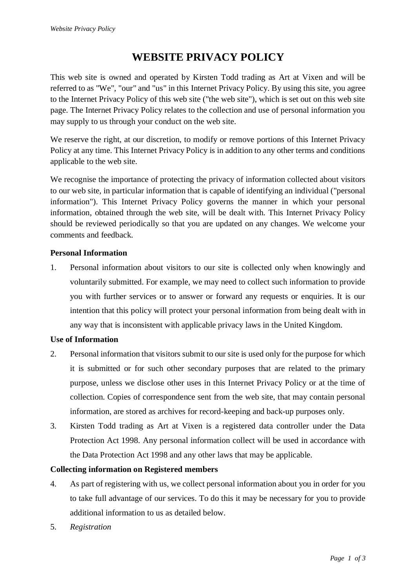# **WEBSITE PRIVACY POLICY**

This web site is owned and operated by Kirsten Todd trading as Art at Vixen and will be referred to as "We", "our" and "us" in this Internet Privacy Policy. By using this site, you agree to the Internet Privacy Policy of this web site ("the web site"), which is set out on this web site page. The Internet Privacy Policy relates to the collection and use of personal information you may supply to us through your conduct on the web site.

We reserve the right, at our discretion, to modify or remove portions of this Internet Privacy Policy at any time. This Internet Privacy Policy is in addition to any other terms and conditions applicable to the web site.

We recognise the importance of protecting the privacy of information collected about visitors to our web site, in particular information that is capable of identifying an individual ("personal information"). This Internet Privacy Policy governs the manner in which your personal information, obtained through the web site, will be dealt with. This Internet Privacy Policy should be reviewed periodically so that you are updated on any changes. We welcome your comments and feedback.

# **Personal Information**

1. Personal information about visitors to our site is collected only when knowingly and voluntarily submitted. For example, we may need to collect such information to provide you with further services or to answer or forward any requests or enquiries. It is our intention that this policy will protect your personal information from being dealt with in any way that is inconsistent with applicable privacy laws in the United Kingdom.

# **Use of Information**

- 2. Personal information that visitors submit to our site is used only for the purpose for which it is submitted or for such other secondary purposes that are related to the primary purpose, unless we disclose other uses in this Internet Privacy Policy or at the time of collection. Copies of correspondence sent from the web site, that may contain personal information, are stored as archives for record-keeping and back-up purposes only.
- 3. Kirsten Todd trading as Art at Vixen is a registered data controller under the Data Protection Act 1998. Any personal information collect will be used in accordance with the Data Protection Act 1998 and any other laws that may be applicable.

# **Collecting information on Registered members**

- 4. As part of registering with us, we collect personal information about you in order for you to take full advantage of our services. To do this it may be necessary for you to provide additional information to us as detailed below.
- 5. *Registration*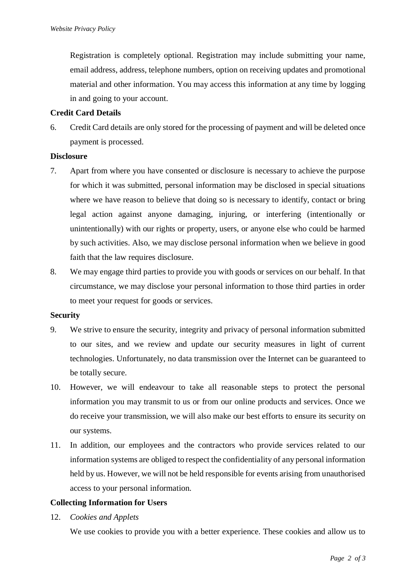Registration is completely optional. Registration may include submitting your name, email address, address, telephone numbers, option on receiving updates and promotional material and other information. You may access this information at any time by logging in and going to your account.

#### **Credit Card Details**

6. Credit Card details are only stored for the processing of payment and will be deleted once payment is processed.

#### **Disclosure**

- 7. Apart from where you have consented or disclosure is necessary to achieve the purpose for which it was submitted, personal information may be disclosed in special situations where we have reason to believe that doing so is necessary to identify, contact or bring legal action against anyone damaging, injuring, or interfering (intentionally or unintentionally) with our rights or property, users, or anyone else who could be harmed by such activities. Also, we may disclose personal information when we believe in good faith that the law requires disclosure.
- 8. We may engage third parties to provide you with goods or services on our behalf. In that circumstance, we may disclose your personal information to those third parties in order to meet your request for goods or services.

#### **Security**

- 9. We strive to ensure the security, integrity and privacy of personal information submitted to our sites, and we review and update our security measures in light of current technologies. Unfortunately, no data transmission over the Internet can be guaranteed to be totally secure.
- 10. However, we will endeavour to take all reasonable steps to protect the personal information you may transmit to us or from our online products and services. Once we do receive your transmission, we will also make our best efforts to ensure its security on our systems.
- 11. In addition, our employees and the contractors who provide services related to our information systems are obliged to respect the confidentiality of any personal information held by us. However, we will not be held responsible for events arising from unauthorised access to your personal information.

# **Collecting Information for Users**

12. *Cookies and Applets*

We use cookies to provide you with a better experience. These cookies and allow us to